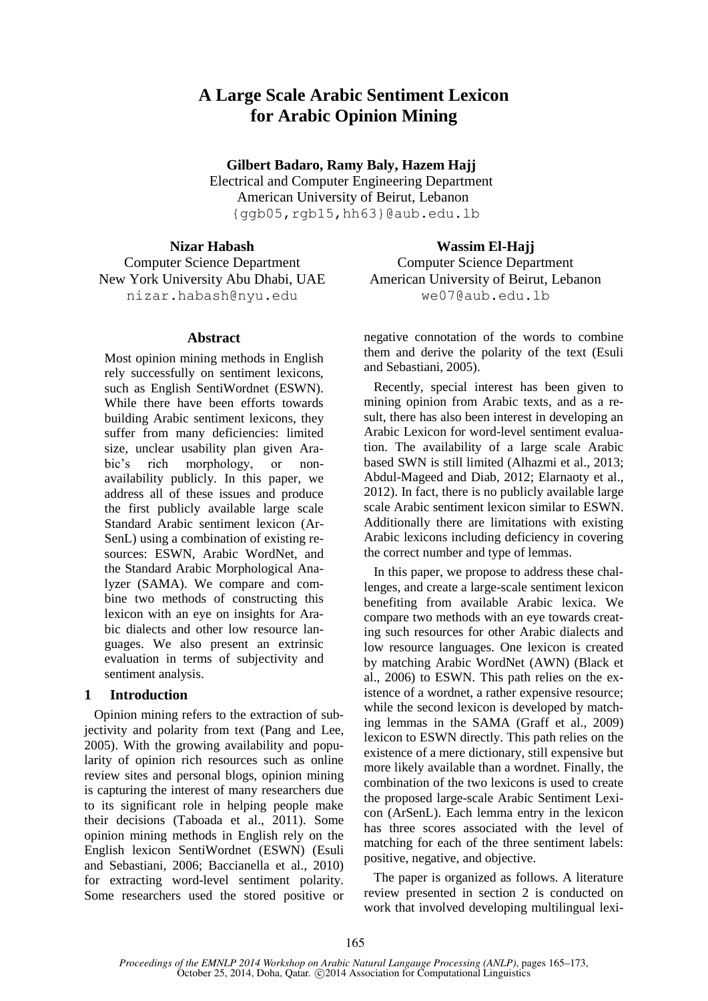# **A Large Scale Arabic Sentiment Lexicon for Arabic Opinion Mining**

**Gilbert Badaro, Ramy Baly, Hazem Hajj**

Electrical and Computer Engineering Department American University of Beirut, Lebanon {ggb05,rgb15,hh63}@aub.edu.lb

#### **Nizar Habash**

Computer Science Department New York University Abu Dhabi, UAE nizar.habash@nyu.edu

#### **Abstract**

Most opinion mining methods in English rely successfully on sentiment lexicons, such as English SentiWordnet (ESWN). While there have been efforts towards building Arabic sentiment lexicons, they suffer from many deficiencies: limited size, unclear usability plan given Arabic's rich morphology, or nonavailability publicly. In this paper, we address all of these issues and produce the first publicly available large scale Standard Arabic sentiment lexicon (Ar-SenL) using a combination of existing resources: ESWN, Arabic WordNet, and the Standard Arabic Morphological Analyzer (SAMA). We compare and combine two methods of constructing this lexicon with an eye on insights for Arabic dialects and other low resource languages. We also present an extrinsic evaluation in terms of subjectivity and sentiment analysis.

#### **1 Introduction**

 Opinion mining refers to the extraction of subjectivity and polarity from text (Pang and Lee, 2005). With the growing availability and popularity of opinion rich resources such as online review sites and personal blogs, opinion mining is capturing the interest of many researchers due to its significant role in helping people make their decisions (Taboada et al., 2011). Some opinion mining methods in English rely on the English lexicon SentiWordnet (ESWN) (Esuli and Sebastiani, 2006; Baccianella et al., 2010) for extracting word-level sentiment polarity. Some researchers used the stored positive or

**Wassim El-Hajj** Computer Science Department American University of Beirut, Lebanon we07@aub.edu.lb

negative connotation of the words to combine them and derive the polarity of the text (Esuli and Sebastiani, 2005).

 Recently, special interest has been given to mining opinion from Arabic texts, and as a result, there has also been interest in developing an Arabic Lexicon for word-level sentiment evaluation. The availability of a large scale Arabic based SWN is still limited (Alhazmi et al., 2013; Abdul-Mageed and Diab, 2012; Elarnaoty et al., 2012). In fact, there is no publicly available large scale Arabic sentiment lexicon similar to ESWN. Additionally there are limitations with existing Arabic lexicons including deficiency in covering the correct number and type of lemmas.

 In this paper, we propose to address these challenges, and create a large-scale sentiment lexicon benefiting from available Arabic lexica. We compare two methods with an eye towards creating such resources for other Arabic dialects and low resource languages. One lexicon is created by matching Arabic WordNet (AWN) (Black et al., 2006) to ESWN. This path relies on the existence of a wordnet, a rather expensive resource; while the second lexicon is developed by matching lemmas in the SAMA (Graff et al., 2009) lexicon to ESWN directly. This path relies on the existence of a mere dictionary, still expensive but more likely available than a wordnet. Finally, the combination of the two lexicons is used to create the proposed large-scale Arabic Sentiment Lexicon (ArSenL). Each lemma entry in the lexicon has three scores associated with the level of matching for each of the three sentiment labels: positive, negative, and objective.

 The paper is organized as follows. A literature review presented in section 2 is conducted on work that involved developing multilingual lexi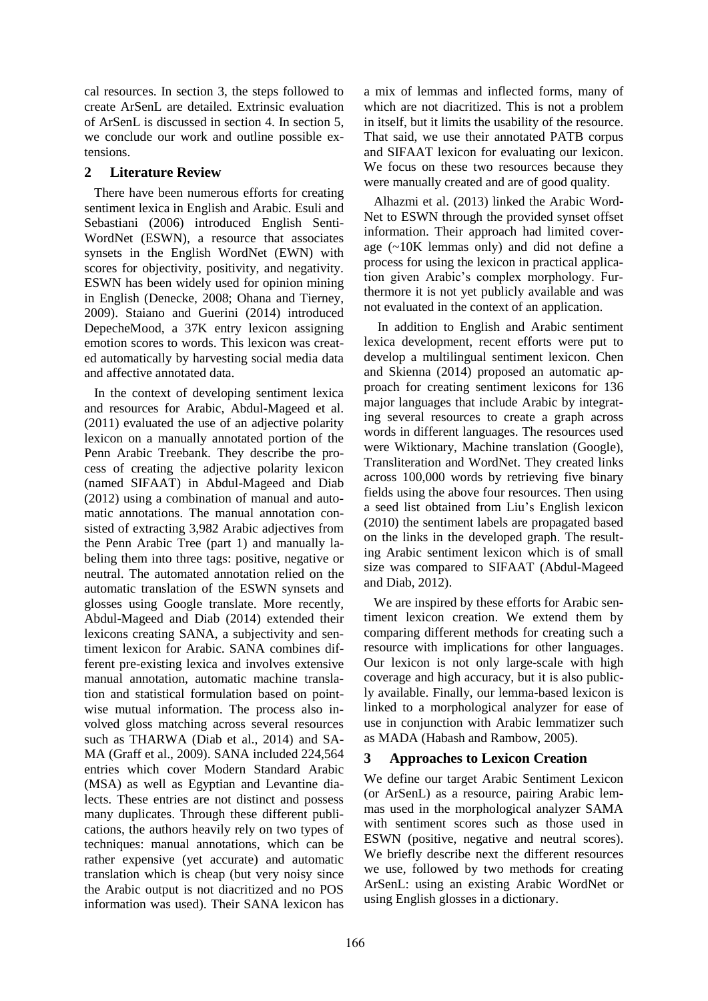cal resources. In section 3, the steps followed to create ArSenL are detailed. Extrinsic evaluation of ArSenL is discussed in section 4. In section 5, we conclude our work and outline possible extensions.

# **2 Literature Review**

 There have been numerous efforts for creating sentiment lexica in English and Arabic. Esuli and Sebastiani (2006) introduced English Senti-WordNet (ESWN), a resource that associates synsets in the English WordNet (EWN) with scores for objectivity, positivity, and negativity. ESWN has been widely used for opinion mining in English (Denecke, 2008; Ohana and Tierney, 2009). Staiano and Guerini (2014) introduced DepecheMood, a 37K entry lexicon assigning emotion scores to words. This lexicon was created automatically by harvesting social media data and affective annotated data.

 In the context of developing sentiment lexica and resources for Arabic, Abdul-Mageed et al. (2011) evaluated the use of an adjective polarity lexicon on a manually annotated portion of the Penn Arabic Treebank. They describe the process of creating the adjective polarity lexicon (named SIFAAT) in Abdul-Mageed and Diab (2012) using a combination of manual and automatic annotations. The manual annotation consisted of extracting 3,982 Arabic adjectives from the Penn Arabic Tree (part 1) and manually labeling them into three tags: positive, negative or neutral. The automated annotation relied on the automatic translation of the ESWN synsets and glosses using Google translate. More recently, Abdul-Mageed and Diab (2014) extended their lexicons creating SANA, a subjectivity and sentiment lexicon for Arabic. SANA combines different pre-existing lexica and involves extensive manual annotation, automatic machine translation and statistical formulation based on pointwise mutual information. The process also involved gloss matching across several resources such as THARWA (Diab et al., 2014) and SA-MA (Graff et al., 2009). SANA included 224,564 entries which cover Modern Standard Arabic (MSA) as well as Egyptian and Levantine dialects. These entries are not distinct and possess many duplicates. Through these different publications, the authors heavily rely on two types of techniques: manual annotations, which can be rather expensive (yet accurate) and automatic translation which is cheap (but very noisy since the Arabic output is not diacritized and no POS information was used). Their SANA lexicon has a mix of lemmas and inflected forms, many of which are not diacritized. This is not a problem in itself, but it limits the usability of the resource. That said, we use their annotated PATB corpus and SIFAAT lexicon for evaluating our lexicon. We focus on these two resources because they were manually created and are of good quality.

 Alhazmi et al. (2013) linked the Arabic Word-Net to ESWN through the provided synset offset information. Their approach had limited coverage (~10K lemmas only) and did not define a process for using the lexicon in practical application given Arabic's complex morphology. Furthermore it is not yet publicly available and was not evaluated in the context of an application.

In addition to English and Arabic sentiment lexica development, recent efforts were put to develop a multilingual sentiment lexicon. Chen and Skienna (2014) proposed an automatic approach for creating sentiment lexicons for 136 major languages that include Arabic by integrating several resources to create a graph across words in different languages. The resources used were Wiktionary, Machine translation (Google), Transliteration and WordNet. They created links across 100,000 words by retrieving five binary fields using the above four resources. Then using a seed list obtained from Liu's English lexicon (2010) the sentiment labels are propagated based on the links in the developed graph. The resulting Arabic sentiment lexicon which is of small size was compared to SIFAAT (Abdul-Mageed and Diab, 2012).

 We are inspired by these efforts for Arabic sentiment lexicon creation. We extend them by comparing different methods for creating such a resource with implications for other languages. Our lexicon is not only large-scale with high coverage and high accuracy, but it is also publicly available. Finally, our lemma-based lexicon is linked to a morphological analyzer for ease of use in conjunction with Arabic lemmatizer such as MADA (Habash and Rambow, 2005).

# **3 Approaches to Lexicon Creation**

We define our target Arabic Sentiment Lexicon (or ArSenL) as a resource, pairing Arabic lemmas used in the morphological analyzer SAMA with sentiment scores such as those used in ESWN (positive, negative and neutral scores). We briefly describe next the different resources we use, followed by two methods for creating ArSenL: using an existing Arabic WordNet or using English glosses in a dictionary.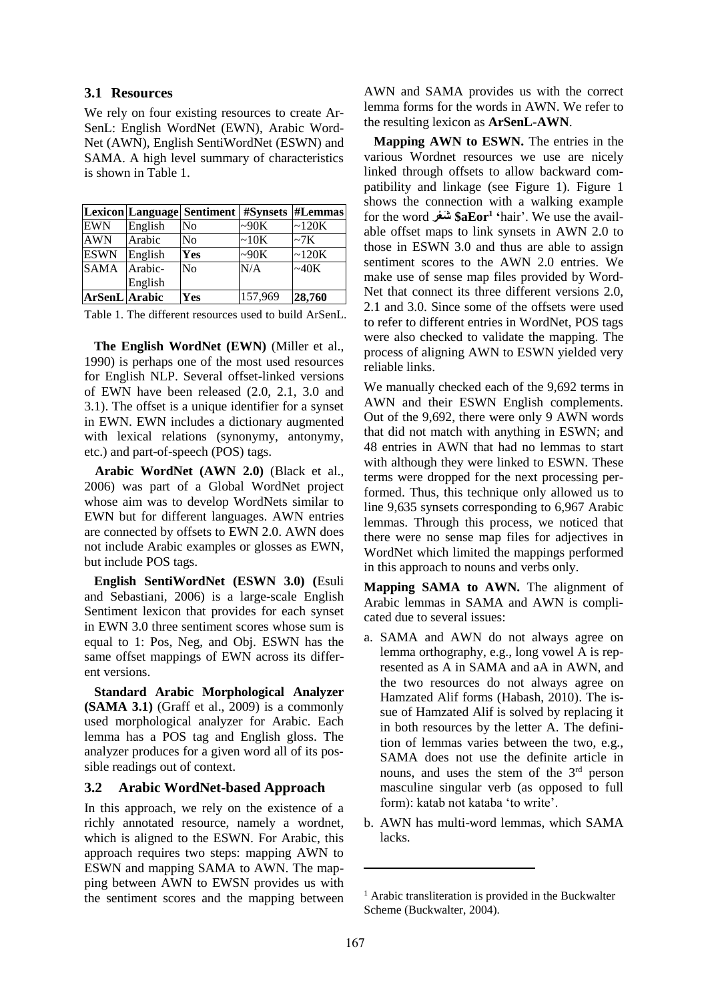#### **3.1 Resources**

We rely on four existing resources to create Ar-SenL: English WordNet (EWN), Arabic Word-Net (AWN), English SentiWordNet (ESWN) and SAMA. A high level summary of characteristics is shown in Table 1.

|                      |         | <b>Lexicon Language Sentiment</b> | <b>#Synsets</b> | #Lemmas     |
|----------------------|---------|-----------------------------------|-----------------|-------------|
| <b>EWN</b>           | English | No                                | $\sim 90K$      | $\sim$ 120K |
| <b>AWN</b>           | Arabic  | N <sub>o</sub>                    | ~10K            | ~27K        |
| <b>ESWN</b>          | English | Yes                               | $\sim 90K$      | $\sim$ 120K |
| <b>SAMA</b>          | Arabic- | N <sub>0</sub>                    | N/A             | $\sim 40K$  |
|                      | English |                                   |                 |             |
| <b>ArSenL</b> Arabic |         | Yes                               | 157,969         | 28,760      |

Table 1. The different resources used to build ArSenL.

 **The English WordNet (EWN)** (Miller et al., 1990) is perhaps one of the most used resources for English NLP. Several offset-linked versions of EWN have been released (2.0, 2.1, 3.0 and 3.1). The offset is a unique identifier for a synset in EWN. EWN includes a dictionary augmented with lexical relations (synonymy, antonymy, etc.) and part-of-speech (POS) tags.

 **Arabic WordNet (AWN 2.0)** (Black et al., 2006) was part of a Global WordNet project whose aim was to develop WordNets similar to EWN but for different languages. AWN entries are connected by offsets to EWN 2.0. AWN does not include Arabic examples or glosses as EWN, but include POS tags.

 **English SentiWordNet (ESWN 3.0) (**Esuli and Sebastiani, 2006) is a large-scale English Sentiment lexicon that provides for each synset in EWN 3.0 three sentiment scores whose sum is equal to 1: Pos, Neg, and Obj. ESWN has the same offset mappings of EWN across its different versions.

 **Standard Arabic Morphological Analyzer (SAMA 3.1)** (Graff et al., 2009) is a commonly used morphological analyzer for Arabic. Each lemma has a POS tag and English gloss. The analyzer produces for a given word all of its possible readings out of context.

#### **3.2 Arabic WordNet-based Approach**

In this approach, we rely on the existence of a richly annotated resource, namely a wordnet, which is aligned to the ESWN. For Arabic, this approach requires two steps: mapping AWN to ESWN and mapping SAMA to AWN. The mapping between AWN to EWSN provides us with the sentiment scores and the mapping between AWN and SAMA provides us with the correct lemma forms for the words in AWN. We refer to the resulting lexicon as **ArSenL-AWN**.

 **Mapping AWN to ESWN.** The entries in the various Wordnet resources we use are nicely linked through offsets to allow backward compatibility and linkage (see Figure 1). Figure 1 shows the connection with a walking example for the word **عرْ شَ \$aEor<sup>1</sup> '**hair'. We use the available offset maps to link synsets in AWN 2.0 to those in ESWN 3.0 and thus are able to assign sentiment scores to the AWN 2.0 entries. We make use of sense map files provided by Word-Net that connect its three different versions 2.0, 2.1 and 3.0. Since some of the offsets were used to refer to different entries in WordNet, POS tags were also checked to validate the mapping. The process of aligning AWN to ESWN yielded very reliable links.

We manually checked each of the 9,692 terms in AWN and their ESWN English complements. Out of the 9,692, there were only 9 AWN words that did not match with anything in ESWN; and 48 entries in AWN that had no lemmas to start with although they were linked to ESWN. These terms were dropped for the next processing performed. Thus, this technique only allowed us to line 9,635 synsets corresponding to 6,967 Arabic lemmas. Through this process, we noticed that there were no sense map files for adjectives in WordNet which limited the mappings performed in this approach to nouns and verbs only.

**Mapping SAMA to AWN.** The alignment of Arabic lemmas in SAMA and AWN is complicated due to several issues:

- a. SAMA and AWN do not always agree on lemma orthography, e.g., long vowel A is represented as A in SAMA and aA in AWN, and the two resources do not always agree on Hamzated Alif forms (Habash, 2010). The issue of Hamzated Alif is solved by replacing it in both resources by the letter A. The definition of lemmas varies between the two, e.g., SAMA does not use the definite article in nouns, and uses the stem of the 3rd person masculine singular verb (as opposed to full form): katab not kataba 'to write'.
- b. AWN has multi-word lemmas, which SAMA lacks.

<sup>&</sup>lt;sup>1</sup> Arabic transliteration is provided in the Buckwalter Scheme (Buckwalter, 2004).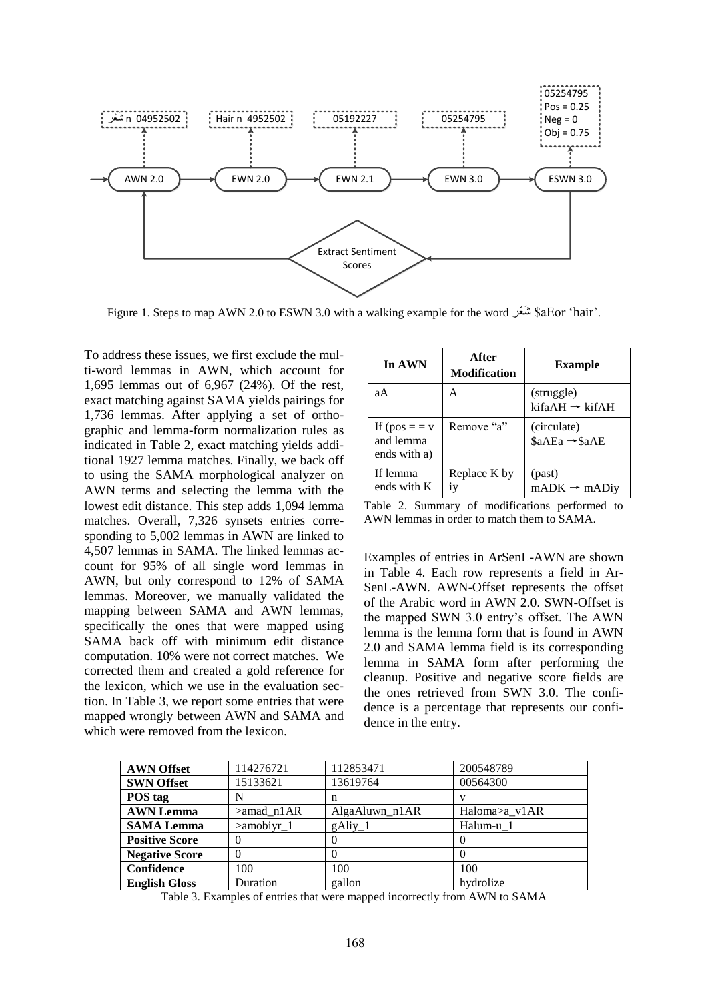

Figure 1. Steps to map AWN 2.0 to ESWN 3.0 with a walking example for the word عرْ شَ \$aEor 'hair'.

To address these issues, we first exclude the multi-word lemmas in AWN, which account for 1,695 lemmas out of 6,967 (24%). Of the rest, exact matching against SAMA yields pairings for 1,736 lemmas. After applying a set of orthographic and lemma-form normalization rules as indicated in Table 2, exact matching yields additional 1927 lemma matches. Finally, we back off to using the SAMA morphological analyzer on AWN terms and selecting the lemma with the lowest edit distance. This step adds 1,094 lemma matches. Overall, 7,326 synsets entries corresponding to 5,002 lemmas in AWN are linked to 4,507 lemmas in SAMA. The linked lemmas account for 95% of all single word lemmas in AWN, but only correspond to 12% of SAMA lemmas. Moreover, we manually validated the mapping between SAMA and AWN lemmas, specifically the ones that were mapped using SAMA back off with minimum edit distance computation. 10% were not correct matches. We corrected them and created a gold reference for the lexicon, which we use in the evaluation section. In Table 3, we report some entries that were mapped wrongly between AWN and SAMA and which were removed from the lexicon.

| In AWN                                      | After<br><b>Modification</b> | <b>Example</b>                              |
|---------------------------------------------|------------------------------|---------------------------------------------|
| aА                                          | Α                            | (struggle)<br>$k$ ifaAH $\rightarrow$ kifAH |
| If $(pos = v)$<br>and lemma<br>ends with a) | Remove "a"                   | (circulate)<br>\$aAEa → \$aAE               |
| If lemma<br>ends with K                     | Replace K by<br>İV           | (past)<br>$mADK \rightarrow mADiy$          |

Table 2. Summary of modifications performed to AWN lemmas in order to match them to SAMA.

Examples of entries in ArSenL-AWN are shown in Table 4. Each row represents a field in Ar-SenL-AWN. AWN-Offset represents the offset of the Arabic word in AWN 2.0. SWN-Offset is the mapped SWN 3.0 entry's offset. The AWN lemma is the lemma form that is found in AWN 2.0 and SAMA lemma field is its corresponding lemma in SAMA form after performing the cleanup. Positive and negative score fields are the ones retrieved from SWN 3.0. The confidence is a percentage that represents our confidence in the entry.

| <b>AWN Offset</b>     | 114276721        | 112853471        | 200548789     |
|-----------------------|------------------|------------------|---------------|
| <b>SWN Offset</b>     | 15133621         | 13619764         | 00564300      |
| POS tag               |                  | n                | v             |
| <b>AWN</b> Lemma      | $>$ amad n $1AR$ | AlgaAluwn n1AR   | Haloma>a_v1AR |
| <b>SAMA Lemma</b>     | $>$ amobiyr $_1$ | $g\text{Airy}_1$ | Halum-u_1     |
| <b>Positive Score</b> |                  | O                |               |
| <b>Negative Score</b> |                  |                  |               |
| Confidence            | 100              | 100              | 100           |
| <b>English Gloss</b>  | Duration         | gallon           | hydrolize     |

Table 3. Examples of entries that were mapped incorrectly from AWN to SAMA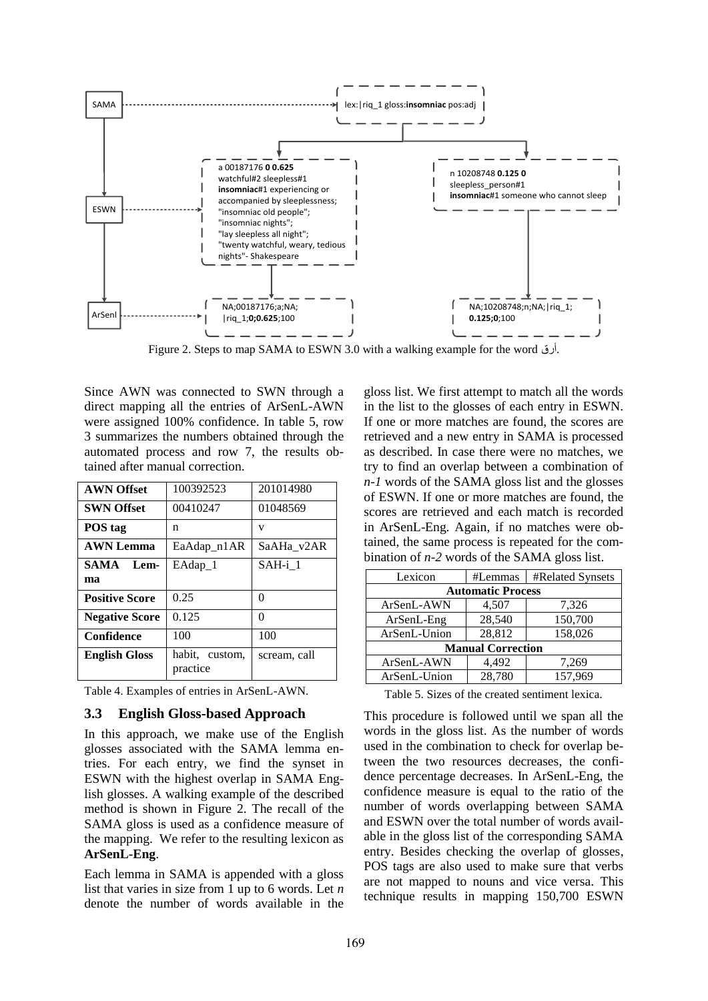

Figure 2. Steps to map SAMA to ESWN 3.0 with a walking example for the word أرق.

Since AWN was connected to SWN through a direct mapping all the entries of ArSenL-AWN were assigned 100% confidence. In table 5, row 3 summarizes the numbers obtained through the automated process and row 7, the results obtained after manual correction.

| <b>AWN Offset</b>     | 100392523                  | 201014980    |
|-----------------------|----------------------------|--------------|
| <b>SWN Offset</b>     | 00410247                   | 01048569     |
| POS tag               | n                          | V            |
| <b>AWN Lemma</b>      | EaAdap_n1AR                | SaAHa_v2AR   |
| <b>SAMA</b><br>Lem-   | EAdap 1                    | $SAH-i$ 1    |
| ma                    |                            |              |
| <b>Positive Score</b> | 0.25                       | 0            |
| <b>Negative Score</b> | 0.125                      | 0            |
| Confidence            | 100                        | 100          |
| <b>English Gloss</b>  | habit, custom,<br>practice | scream, call |

Table 4. Examples of entries in ArSenL-AWN.

#### **3.3 English Gloss-based Approach**

In this approach, we make use of the English glosses associated with the SAMA lemma entries. For each entry, we find the synset in ESWN with the highest overlap in SAMA English glosses. A walking example of the described method is shown in Figure 2. The recall of the SAMA gloss is used as a confidence measure of the mapping. We refer to the resulting lexicon as **ArSenL-Eng**.

Each lemma in SAMA is appended with a gloss list that varies in size from 1 up to 6 words. Let *n* denote the number of words available in the

gloss list. We first attempt to match all the words in the list to the glosses of each entry in ESWN. If one or more matches are found, the scores are retrieved and a new entry in SAMA is processed as described. In case there were no matches, we try to find an overlap between a combination of *n-1* words of the SAMA gloss list and the glosses of ESWN. If one or more matches are found, the scores are retrieved and each match is recorded in ArSenL-Eng. Again, if no matches were obtained, the same process is repeated for the combination of *n-2* words of the SAMA gloss list.

| Lexicon                  | #Lemmas | #Related Synsets |  |  |  |  |
|--------------------------|---------|------------------|--|--|--|--|
| <b>Automatic Process</b> |         |                  |  |  |  |  |
| ArSenL-AWN               | 4,507   | 7,326            |  |  |  |  |
| ArSenL-Eng               | 28,540  | 150,700          |  |  |  |  |
| ArSenL-Union             | 28,812  | 158,026          |  |  |  |  |
| <b>Manual Correction</b> |         |                  |  |  |  |  |
| ArSenL-AWN               | 4.492   | 7,269            |  |  |  |  |
| ArSenL-Union             | 28,780  | 157,969          |  |  |  |  |

Table 5. Sizes of the created sentiment lexica.

This procedure is followed until we span all the words in the gloss list. As the number of words used in the combination to check for overlap between the two resources decreases, the confidence percentage decreases. In ArSenL-Eng, the confidence measure is equal to the ratio of the number of words overlapping between SAMA and ESWN over the total number of words available in the gloss list of the corresponding SAMA entry. Besides checking the overlap of glosses, POS tags are also used to make sure that verbs are not mapped to nouns and vice versa. This technique results in mapping 150,700 ESWN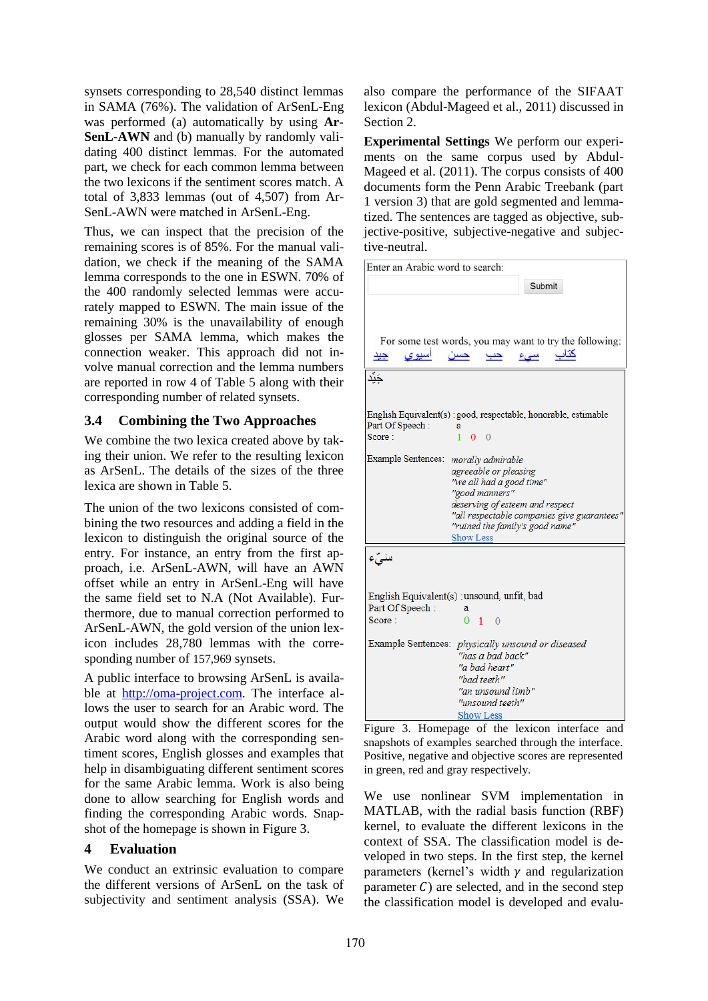synsets corresponding to 28,540 distinct lemmas in SAMA (76%). The validation of ArSenL-Eng was performed (a) automatically by using **Ar-SenL-AWN** and (b) manually by randomly validating 400 distinct lemmas. For the automated part, we check for each common lemma between the two lexicons if the sentiment scores match. A total of 3,833 lemmas (out of 4,507) from Ar-SenL-AWN were matched in ArSenL-Eng.

Thus, we can inspect that the precision of the remaining scores is of 85%. For the manual validation, we check if the meaning of the SAMA lemma corresponds to the one in ESWN. 70% of the 400 randomly selected lemmas were accurately mapped to ESWN. The main issue of the remaining 30% is the unavailability of enough glosses per SAMA lemma, which makes the connection weaker. This approach did not involve manual correction and the lemma numbers are reported in row 4 of Table 5 along with their corresponding number of related synsets.

### **3.4 Combining the Two Approaches**

We combine the two lexica created above by taking their union. We refer to the resulting lexicon as ArSenL. The details of the sizes of the three lexica are shown in Table 5.

The union of the two lexicons consisted of combining the two resources and adding a field in the lexicon to distinguish the original source of the entry. For instance, an entry from the first approach, i.e. ArSenL-AWN, will have an AWN offset while an entry in ArSenL-Eng will have the same field set to N.A (Not Available). Furthermore, due to manual correction performed to ArSenL-AWN, the gold version of the union lexicon includes 28,780 lemmas with the corresponding number of 157,969 synsets.

A public interface to browsing ArSenL is available at http://oma-project.com. The interface allows the user to search for an Arabic word. The output would show the different scores for the Arabic word along with the corresponding sentiment scores, English glosses and examples that help in disambiguating different sentiment scores for the same Arabic lemma. Work is also being done to allow searching for English words and finding the corresponding Arabic words. Snapshot of the homepage is shown in Figure 3.

#### **4 Evaluation**

We conduct an extrinsic evaluation to compare the different versions of ArSenL on the task of subjectivity and sentiment analysis (SSA). We also compare the performance of the SIFAAT lexicon (Abdul-Mageed et al., 2011) discussed in Section 2.

**Experimental Settings** We perform our experiments on the same corpus used by Abdul-Mageed et al. (2011). The corpus consists of 400 documents form the Penn Arabic Treebank (part 1 version 3) that are gold segmented and lemmatized. The sentences are tagged as objective, subjective-positive, subjective-negative and subjective-neutral.

| Enter an Arabic word to search:                                                    |
|------------------------------------------------------------------------------------|
| Submit                                                                             |
|                                                                                    |
|                                                                                    |
|                                                                                    |
| For some test words, you may want to try the following:                            |
| <u>کتاب سیء</u><br>اسيوى<br>حسن<br>حب<br>جيد                                       |
|                                                                                    |
| دَّأ                                                                               |
|                                                                                    |
|                                                                                    |
| English Equivalent(s) : good, respectable, honorable, estimable<br>Part Of Speech: |
| a<br>Score:<br>$1\quad 0\quad 0$                                                   |
|                                                                                    |
| Example Sentences:<br>morally admirable                                            |
| agreeable or pleasing                                                              |
| "we all had a good time"                                                           |
| "good manners"                                                                     |
| deserving of esteem and respect                                                    |
| "all respectable companies give guarantees"<br>"ruined the family's good name"     |
| <b>Show Less</b>                                                                   |
|                                                                                    |
| سَيِّء                                                                             |
|                                                                                    |
|                                                                                    |
| English Equivalent(s) : unsound, unfit, bad                                        |
| Part Of Speech:<br>a                                                               |
| Score:<br>$0 \quad 1 \quad 0$                                                      |
| Example Sentences: physically unsound or diseased                                  |
| "has a bad back"                                                                   |
| "a bad heart"                                                                      |
| "bad teeth"                                                                        |
| "an unsound limb"                                                                  |
| "unsound teeth"                                                                    |
| <b>Show Less</b>                                                                   |
|                                                                                    |

Figure 3. Homepage of the lexicon interface and snapshots of examples searched through the interface. Positive, negative and objective scores are represented in green, red and gray respectively.

We use nonlinear SVM implementation in MATLAB, with the radial basis function (RBF) kernel, to evaluate the different lexicons in the context of SSA. The classification model is developed in two steps. In the first step, the kernel parameters (kernel's width  $\gamma$  and regularization parameter  $C$ ) are selected, and in the second step the classification model is developed and evalu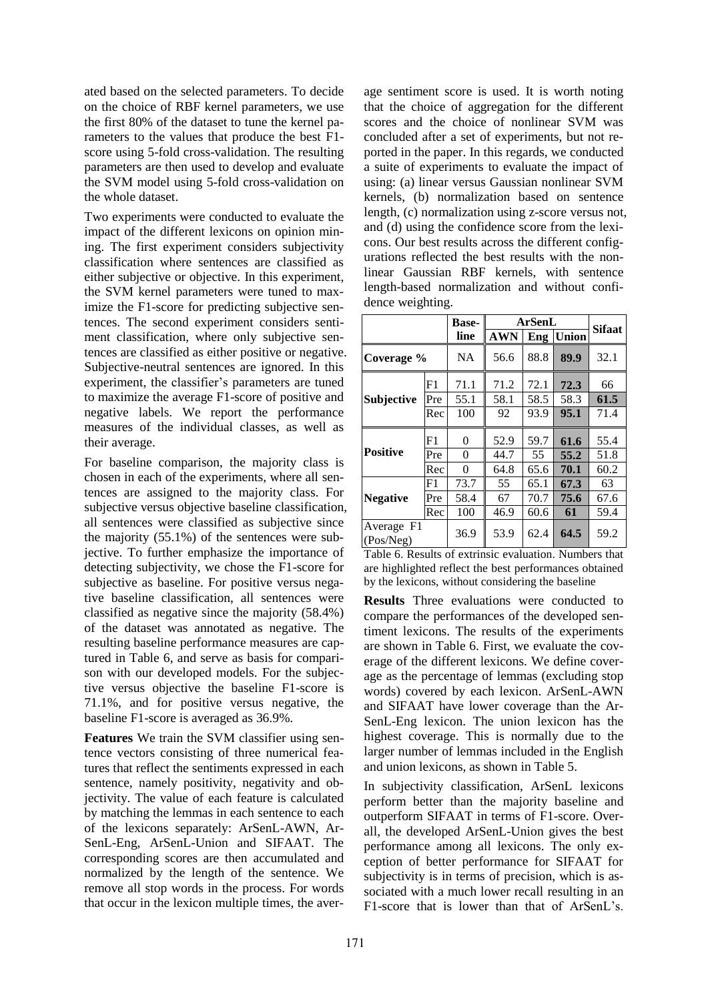ated based on the selected parameters. To decide on the choice of RBF kernel parameters, we use the first 80% of the dataset to tune the kernel parameters to the values that produce the best F1 score using 5-fold cross-validation. The resulting parameters are then used to develop and evaluate the SVM model using 5-fold cross-validation on the whole dataset.

Two experiments were conducted to evaluate the impact of the different lexicons on opinion mining. The first experiment considers subjectivity classification where sentences are classified as either subjective or objective. In this experiment, the SVM kernel parameters were tuned to maximize the F1-score for predicting subjective sentences. The second experiment considers sentiment classification, where only subjective sentences are classified as either positive or negative. Subjective-neutral sentences are ignored. In this experiment, the classifier's parameters are tuned to maximize the average F1-score of positive and negative labels. We report the performance measures of the individual classes, as well as their average.

For baseline comparison, the majority class is chosen in each of the experiments, where all sentences are assigned to the majority class. For subjective versus objective baseline classification, all sentences were classified as subjective since the majority (55.1%) of the sentences were subjective. To further emphasize the importance of detecting subjectivity, we chose the F1-score for subjective as baseline. For positive versus negative baseline classification, all sentences were classified as negative since the majority (58.4%) of the dataset was annotated as negative. The resulting baseline performance measures are captured in Table 6, and serve as basis for comparison with our developed models. For the subjective versus objective the baseline F1-score is 71.1%, and for positive versus negative, the baseline F1-score is averaged as 36.9%.

**Features** We train the SVM classifier using sentence vectors consisting of three numerical features that reflect the sentiments expressed in each sentence, namely positivity, negativity and objectivity. The value of each feature is calculated by matching the lemmas in each sentence to each of the lexicons separately: ArSenL-AWN, Ar-SenL-Eng, ArSenL-Union and SIFAAT. The corresponding scores are then accumulated and normalized by the length of the sentence. We remove all stop words in the process. For words that occur in the lexicon multiple times, the aver-

age sentiment score is used. It is worth noting that the choice of aggregation for the different scores and the choice of nonlinear SVM was concluded after a set of experiments, but not reported in the paper. In this regards, we conducted a suite of experiments to evaluate the impact of using: (a) linear versus Gaussian nonlinear SVM kernels, (b) normalization based on sentence length, (c) normalization using z-score versus not, and (d) using the confidence score from the lexicons. Our best results across the different configurations reflected the best results with the nonlinear Gaussian RBF kernels, with sentence length-based normalization and without confidence weighting.

|                         |     | <b>Base-</b> |            | ArSenL |              |               |
|-------------------------|-----|--------------|------------|--------|--------------|---------------|
|                         |     | line         | <b>AWN</b> | Eng    | <b>Union</b> | <b>Sifaat</b> |
| Coverage %              |     | <b>NA</b>    | 56.6       | 88.8   | 89.9         | 32.1          |
|                         | F1  | 71.1         | 71.2       | 72.1   | 72.3         | 66            |
| Subjective              | Pre | 55.1         | 58.1       | 58.5   | 58.3         | 61.5          |
|                         | Rec | 100          | 92         | 93.9   | 95.1         | 71.4          |
|                         | F1  | 0            | 52.9       | 59.7   | 61.6         | 55.4          |
| <b>Positive</b>         | Pre | 0            | 44.7       | 55     | 55.2         | 51.8          |
|                         | Rec | $\theta$     | 64.8       | 65.6   | 70.1         | 60.2          |
|                         | F1  | 73.7         | 55         | 65.1   | 67.3         | 63            |
| <b>Negative</b>         | Pre | 58.4         | 67         | 70.7   | 75.6         | 67.6          |
|                         | Rec | 100          | 46.9       | 60.6   | 61           | 59.4          |
| Average F1<br>(Pos/Neg) |     | 36.9         | 53.9       | 62.4   | 64.5         | 59.2          |

Table 6. Results of extrinsic evaluation. Numbers that are highlighted reflect the best performances obtained by the lexicons, without considering the baseline

**Results** Three evaluations were conducted to compare the performances of the developed sentiment lexicons. The results of the experiments are shown in Table 6. First, we evaluate the coverage of the different lexicons. We define coverage as the percentage of lemmas (excluding stop words) covered by each lexicon. ArSenL-AWN and SIFAAT have lower coverage than the Ar-SenL-Eng lexicon. The union lexicon has the highest coverage. This is normally due to the larger number of lemmas included in the English and union lexicons, as shown in Table 5.

In subjectivity classification, ArSenL lexicons perform better than the majority baseline and outperform SIFAAT in terms of F1-score. Overall, the developed ArSenL-Union gives the best performance among all lexicons. The only exception of better performance for SIFAAT for subjectivity is in terms of precision, which is associated with a much lower recall resulting in an F1-score that is lower than that of ArSenL's.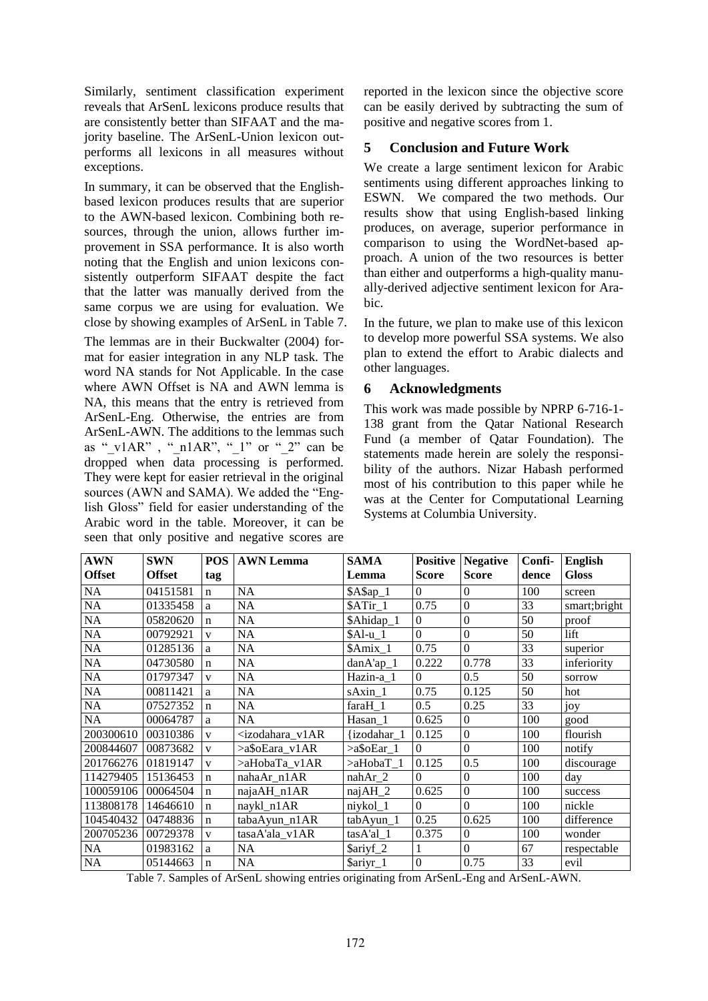Similarly, sentiment classification experiment reveals that ArSenL lexicons produce results that are consistently better than SIFAAT and the majority baseline. The ArSenL-Union lexicon outperforms all lexicons in all measures without exceptions.

In summary, it can be observed that the Englishbased lexicon produces results that are superior to the AWN-based lexicon. Combining both resources, through the union, allows further improvement in SSA performance. It is also worth noting that the English and union lexicons consistently outperform SIFAAT despite the fact that the latter was manually derived from the same corpus we are using for evaluation. We close by showing examples of ArSenL in Table 7.

The lemmas are in their Buckwalter (2004) format for easier integration in any NLP task. The word NA stands for Not Applicable. In the case where AWN Offset is NA and AWN lemma is NA, this means that the entry is retrieved from ArSenL-Eng. Otherwise, the entries are from ArSenL-AWN. The additions to the lemmas such as " $v1AR$ ", " $n1AR$ ", " $1$ " or " $2$ " can be dropped when data processing is performed. They were kept for easier retrieval in the original sources (AWN and SAMA). We added the "English Gloss" field for easier understanding of the Arabic word in the table. Moreover, it can be seen that only positive and negative scores are reported in the lexicon since the objective score can be easily derived by subtracting the sum of positive and negative scores from 1.

# **5 Conclusion and Future Work**

We create a large sentiment lexicon for Arabic sentiments using different approaches linking to ESWN. We compared the two methods. Our results show that using English-based linking produces, on average, superior performance in comparison to using the WordNet-based approach. A union of the two resources is better than either and outperforms a high-quality manually-derived adjective sentiment lexicon for Arabic.

In the future, we plan to make use of this lexicon to develop more powerful SSA systems. We also plan to extend the effort to Arabic dialects and other languages.

## **6 Acknowledgments**

This work was made possible by NPRP 6-716-1- 138 grant from the Qatar National Research Fund (a member of Qatar Foundation). The statements made herein are solely the responsibility of the authors. Nizar Habash performed most of his contribution to this paper while he was at the Center for Computational Learning Systems at Columbia University.

| <b>AWN</b>      | <b>SWN</b>    | <b>POS</b>   | <b>AWN</b> Lemma                                                                                                                         | <b>SAMA</b>             | <b>Positive</b>  | <b>Negative</b>  | Confi- | <b>English</b> |
|-----------------|---------------|--------------|------------------------------------------------------------------------------------------------------------------------------------------|-------------------------|------------------|------------------|--------|----------------|
| <b>Offset</b>   | <b>Offset</b> | tag          |                                                                                                                                          | Lemma                   | <b>Score</b>     | <b>Score</b>     | dence  | <b>Gloss</b>   |
| NA              | 04151581      | $\mathbf n$  | NA                                                                                                                                       | \$A\$ap_1               | $\Omega$         | $\Omega$         | 100    | screen         |
| NA              | 01335458      | a            | NA                                                                                                                                       | $\overline{\$ATir}\_1$  | 0.75             | $\overline{0}$   | 33     | smart;bright   |
| NA              | 05820620      | $\mathbf n$  | NA                                                                                                                                       | \$Ahidap_1              | $\theta$         | $\mathbf{0}$     | 50     | proof          |
| NA              | 00792921      | V            | NA                                                                                                                                       | $$Al-u 1$               | $\overline{0}$   | $\overline{0}$   | 50     | lift           |
| NA              | 01285136      | a            | NA                                                                                                                                       | $\text{Amix}_1$         | 0.75             | $\Omega$         | 33     | superior       |
| NA              | 04730580      | $\mathbf n$  | NA                                                                                                                                       | $\overline{d}$ anA'ap_1 | 0.222            | 0.778            | 33     | inferiority    |
| NA              | 01797347      | $\mathbf{V}$ | NA                                                                                                                                       | Hazin-a_1               | $\Omega$         | 0.5              | 50     | sorrow         |
| $\rm NA$        | 00811421      | a            | NA                                                                                                                                       | sAxin_1                 | 0.75             | 0.125            | 50     | hot            |
| $\overline{NA}$ | 07527352      | $\mathbf n$  | NA                                                                                                                                       | faraH 1                 | 0.5              | 0.25             | 33     | joy            |
| NA              | 00064787      | a            | NA                                                                                                                                       | Hasan 1                 | 0.625            | $\mathbf{0}$     | 100    | good           |
| 200300610       | 00310386      | $\mathbf{V}$ | <izodahara_v1ar< td=""><td>{izodahar 1</td><td>0.125</td><td><math>\mathbf{0}</math></td><td>100</td><td>flourish</td></izodahara_v1ar<> | {izodahar 1             | 0.125            | $\mathbf{0}$     | 100    | flourish       |
| 200844607       | 00873682      | $\mathbf{V}$ | >a\$oEara v1AR                                                                                                                           | $>a$ \$oEar 1           | $\Omega$         | $\overline{0}$   | 100    | notify         |
| 201766276       | 01819147      | $\mathbf{V}$ | >aHobaTa v1AR                                                                                                                            | >aHobaT 1               | 0.125            | 0.5              | 100    | discourage     |
| 114279405       | 15136453      | $\mathbf n$  | nahaAr_n1AR                                                                                                                              | nahAr_2                 | $\Omega$         | $\boldsymbol{0}$ | 100    | day            |
| 100059106       | 00064504      | $\mathbf n$  | najaAH_n1AR                                                                                                                              | $najAH_2$               | 0.625            | $\mathbf{0}$     | 100    | success        |
| 113808178       | 14646610      | $\mathbf n$  | naykl_n1AR                                                                                                                               | niykol_1                | $\Omega$         | $\mathbf{0}$     | 100    | nickle         |
| 104540432       | 04748836      | $\mathbf n$  | tabaAyun n1AR                                                                                                                            | tabAyun_1               | 0.25             | 0.625            | 100    | difference     |
| 200705236       | 00729378      | $\mathbf{V}$ | tasaA'ala_v1AR                                                                                                                           | $tasA'al_1$             | 0.375            | $\Omega$         | 100    | wonder         |
| NA              | 01983162      | a            | <b>NA</b>                                                                                                                                | \$ariyf_2               |                  | $\Omega$         | 67     | respectable    |
| NA              | 05144663      | $\mathbf n$  | NA                                                                                                                                       | \$ariyr_1               | $\boldsymbol{0}$ | 0.75             | 33     | evil           |

Table 7. Samples of ArSenL showing entries originating from ArSenL-Eng and ArSenL-AWN.